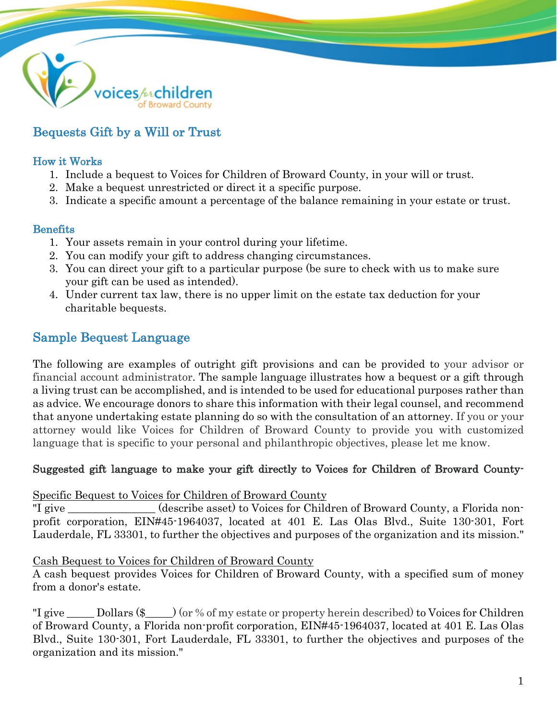

# Bequests Gift by a Will or Trust

### How it Works

- 1. Include a bequest to Voices for Children of Broward County, in your will or trust.
- 2. Make a bequest unrestricted or direct it a specific purpose.
- 3. Indicate a specific amount a percentage of the balance remaining in your estate or trust.

### Benefits

- 1. Your assets remain in your control during your lifetime.
- 2. You can modify your gift to address changing circumstances.
- 3. You can direct your gift to a particular purpose (be sure to check with us to make sure your gift can be used as intended).
- 4. Under current tax law, there is no upper limit on the estate tax deduction for your charitable bequests.

## Sample Bequest Language

The following are examples of outright gift provisions and can be provided to your advisor or financial account administrator. The sample language illustrates how a bequest or a gift through a living trust can be accomplished, and is intended to be used for educational purposes rather than as advice. We encourage donors to share this information with their legal counsel, and recommend that anyone undertaking estate planning do so with the consultation of an attorney. If you or your attorney would like Voices for Children of Broward County to provide you with customized language that is specific to your personal and philanthropic objectives, please let me know.

## Suggested gift language to make your gift directly to Voices for Children of Broward County-

Specific Bequest to Voices for Children of Broward County

"I give (describe asset) to Voices for Children of Broward County, a Florida nonprofit corporation, EIN#45-1964037, located at 401 E. Las Olas Blvd., Suite 130-301, Fort Lauderdale, FL 33301, to further the objectives and purposes of the organization and its mission."

#### Cash Bequest to Voices for Children of Broward County

A cash bequest provides Voices for Children of Broward County, with a specified sum of money from a donor's estate.

"I give Dollars  $(\frac{1}{2})$  (or % of my estate or property herein described) to Voices for Children of Broward County, a Florida non-profit corporation, EIN#45-1964037, located at 401 E. Las Olas Blvd., Suite 130-301, Fort Lauderdale, FL 33301, to further the objectives and purposes of the organization and its mission."